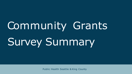# Community Grants Survey Summary

Public Health Seattle & King County



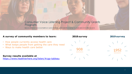### Consumer Voice Listening Project & Community Grants Program

because efforts to improve our healthcare system should be guided and influenced by the people and communities we serve



908

### **A survey of community members to learn:**

- How people currently access health care
- What keeps people from getting the care they need
- Ways to make health care better

**Survey results available at**  <https://www.healthierhere.org/listen/#cgp-tableau>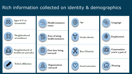# Rich information collected on identity & demographics

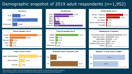## Demographic snapshot of 2019 adult respondents (n=1,952)



Abbreviations: AI/AN: American Indian/Alaska Native; NH/PI: Native Hawaiian/Pacific Islanders. Note: Percentages may not sum to 100% due to respondents reporting multiple responses.



### Neighborhood of residence

Central/South Seattle South King County North Seattle North King County Outside of King County Skipped



### Reported 1 or more chronic condition

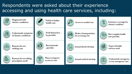# Respondents were asked about their experience accessing and using health care services, including:

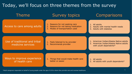# Today, we'll focus on three themes from the survey

### Theme Survey topics Comparisons

### Access to care among adults

- 1. Reasons for not seeking care
- 2. Reasons for not taking medication
- 3. Modes of transportation used
- 1. All adults
- 2. Adults with mental health needs
- 3. Adults with diabetes

### Use of traditional and tribal medicine services

- 1. Feels listened to by provider
- 2. Recommends provider
- 1. American Indian/Alaska Native adults
- 2. American Indian/Alaska Native adults with youth dependents\*

### Ways to improve experience of health care

1. Things that would make health care better or easier



2. All adults with youth dependents\*

\*Adult caregivers responded on behalf of young people under the age of 18 for whom they provide care and oversee healthcare.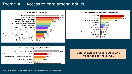### Theme #1: Access to care among adults



### Reasons for not taking prescription medication





Note: Percentages will not sum to 100% due to respondents reporting multiple responses.

### Data shown are for all adults who responded to the survey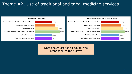## Theme #2: Use of traditional and tribal medicine services



### Data shown are for all adults who responded to the survey

### Would recommend provider to family or friends

Alcohol or Sustance Use Disorder Treatment Provider Behavioral/Mental Health Care Dental care provider Routine Medical Care (e.g. Primary Care Provider) **Traditional Native Healer** Tribal Clinic or Indian Health Care

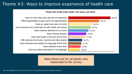### Theme #3: Ways to improve experience of health care

### Things that would make health care easier and better 44.5% 32.7% 25.1% 23.7% 21.2% None of these reasons 18.9% 17.9% 14.7% 13.7% 12.9% 12.2%



Have my clinic stay open late and on weekends Offer transportation to get to and from appointments Have an urgent care near my home Have someone who could help me with health care issues Have medicine delivered to my home Have other types of services at the clinic Offer services at schools, churches and other places Have someone who speaks my language at the clinic Have childcare at the clinic Give me written instructions in my language

Data shown are for all adults who responded to the survey

Note: Percentages will not sum to 100% due to respondents reporting multiple responses.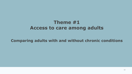# **Theme #1 Access to care among adults**

### **Comparing adults with and without chronic conditions**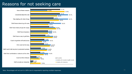### Reasons for not seeking care



Note: Percentages will not sum to 100% due to respondents reporting multiple responses. The matrix of the state of the matrix of the matrix of the matrix of the matrix of the matrix of the matrix of the matrix of the matri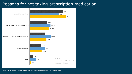### Reasons for not taking prescription medication



Note: Percentages will not sum to 100% due to respondents reporting multiple responses. 12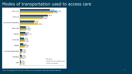### Modes of transportation used to access care



Note: Percentages will not sum to 100% due to respondents reporting multiple responses. The matrix of the state of the matrix of the matrix of the matrix of the matrix of the matrix of the matrix of the matrix of the matri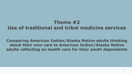# **Theme #2 Use of traditional and tribal medicine services**

### **Comparing American Indian/Alaska Native adults thinking about their own care to American Indian/Alaska Native adults reflecting on health care for their youth dependents**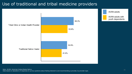## Use of traditional and tribal medicine providers



Note: AI/AN: American Indian/Alaska Native. 15 november 15 metatra. Italian di mengentikan menyebutkan menyebutkan menyebutkan menyebutkan menyebutkan menyebutkan menyebutkan menyebutkan menyebutkan menyebutkan menyebutkan Data based on tabulation of responses to survey questions about feeling listened to and recommending a provider, by provider type.

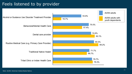### Feels listened to by provider

| Alcohol or Sustance Use Disorder Treatment Provider | t<br>16.7% |
|-----------------------------------------------------|------------|
| Behavioral/Mental Health Care                       |            |
| Dental care provider                                |            |
| Routine Medical Care (e.g. Primary Care Provider)   |            |
| <b>Traditional Native Healer</b>                    |            |
| Tribal Clinic or Indian Health Care                 |            |
|                                                     |            |

Note: AI/AN: American Indian/Alaska Native.

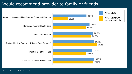# Would recommend provider to family or friends

Note: AI/AN: American Indian/Alaska Native.

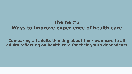# **Theme #3 Ways to improve experience of health care**

### **Comparing all adults thinking about their own care to all adults reflecting on health care for their youth dependents**